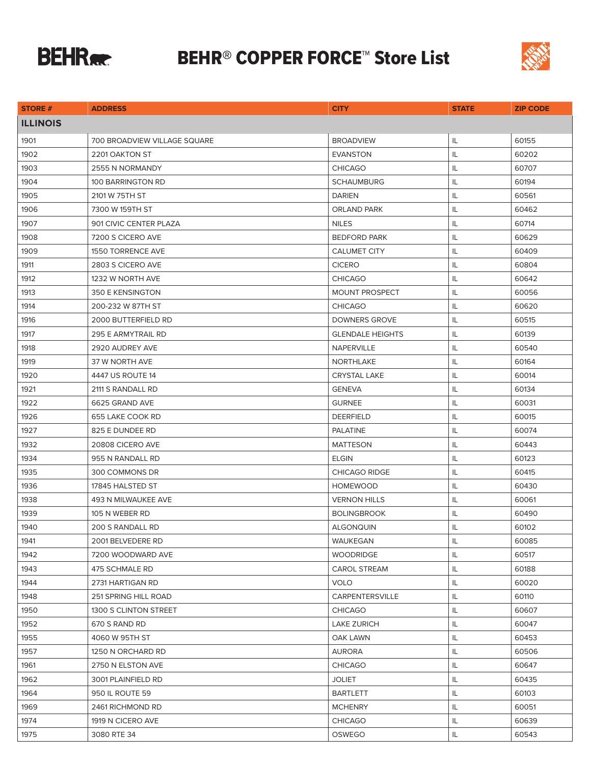

## **BEHR® COPPER FORCE™ Store List**



|                 |                                     | <b>CITY</b>             |              |                 |
|-----------------|-------------------------------------|-------------------------|--------------|-----------------|
| <b>STORE #</b>  | <b>ADDRESS</b>                      |                         | <b>STATE</b> | <b>ZIP CODE</b> |
| <b>ILLINOIS</b> |                                     |                         |              |                 |
| 1901            | <b>700 BROADVIEW VILLAGE SQUARE</b> | <b>BROADVIEW</b>        | IL           | 60155           |
| 1902            | 2201 OAKTON ST                      | <b>EVANSTON</b>         | IL           | 60202           |
| 1903            | 2555 N NORMANDY                     | <b>CHICAGO</b>          | IL           | 60707           |
| 1904            | 100 BARRINGTON RD                   | <b>SCHAUMBURG</b>       | IL           | 60194           |
| 1905            | 2101 W 75TH ST                      | <b>DARIEN</b>           | IL           | 60561           |
| 1906            | 7300 W 159TH ST                     | <b>ORLAND PARK</b>      | IL           | 60462           |
| 1907            | 901 CIVIC CENTER PLAZA              | <b>NILES</b>            | IL           | 60714           |
| 1908            | 7200 S CICERO AVE                   | <b>BEDFORD PARK</b>     | IL           | 60629           |
| 1909            | <b>1550 TORRENCE AVE</b>            | <b>CALUMET CITY</b>     | IL           | 60409           |
| 1911            | 2803 S CICERO AVE                   | <b>CICERO</b>           | IL           | 60804           |
| 1912            | 1232 W NORTH AVE                    | <b>CHICAGO</b>          | IL           | 60642           |
| 1913            | 350 E KENSINGTON                    | MOUNT PROSPECT          | IL           | 60056           |
| 1914            | 200-232 W 87TH ST                   | <b>CHICAGO</b>          | IL           | 60620           |
| 1916            | 2000 BUTTERFIELD RD                 | <b>DOWNERS GROVE</b>    | IL           | 60515           |
| 1917            | 295 E ARMYTRAIL RD                  | <b>GLENDALE HEIGHTS</b> | IL           | 60139           |
| 1918            | 2920 AUDREY AVE                     | <b>NAPERVILLE</b>       | IL           | 60540           |
| 1919            | 37 W NORTH AVE                      | NORTHLAKE               | IL           | 60164           |
| 1920            | 4447 US ROUTE 14                    | <b>CRYSTAL LAKE</b>     | IL           | 60014           |
| 1921            | 2111 S RANDALL RD                   | <b>GENEVA</b>           | IL           | 60134           |
| 1922            | 6625 GRAND AVE                      | <b>GURNEE</b>           | IL.          | 60031           |
| 1926            | 655 LAKE COOK RD                    | <b>DEERFIELD</b>        | IL           | 60015           |
| 1927            | 825 E DUNDEE RD                     | <b>PALATINE</b>         | IL           | 60074           |
| 1932            | 20808 CICERO AVE                    | <b>MATTESON</b>         | IL           | 60443           |
| 1934            | 955 N RANDALL RD                    | ELGIN                   | IL           | 60123           |
| 1935            | 300 COMMONS DR                      | <b>CHICAGO RIDGE</b>    | IL           | 60415           |
| 1936            | 17845 HALSTED ST                    | <b>HOMEWOOD</b>         | IL           | 60430           |
| 1938            | 493 N MILWAUKEE AVE                 | <b>VERNON HILLS</b>     | IL           | 60061           |
| 1939            | 105 N WEBER RD                      | <b>BOLINGBROOK</b>      | IL           | 60490           |
| 1940            | 200 S RANDALL RD                    | <b>ALGONQUIN</b>        | IL           | 60102           |
| 1941            | 2001 BELVEDERE RD                   | WAUKEGAN                | IL           | 60085           |
| 1942            | 7200 WOODWARD AVE                   | <b>WOODRIDGE</b>        | IL           | 60517           |
| 1943            | 475 SCHMALE RD                      | <b>CAROL STREAM</b>     | IL           | 60188           |
| 1944            | 2731 HARTIGAN RD                    | <b>VOLO</b>             | IL           | 60020           |
| 1948            | 251 SPRING HILL ROAD                | CARPENTERSVILLE         | IL.          | 60110           |
| 1950            | 1300 S CLINTON STREET               | <b>CHICAGO</b>          | IL           | 60607           |
| 1952            | 670 S RAND RD                       | <b>LAKE ZURICH</b>      | IL           | 60047           |
| 1955            | 4060 W 95TH ST                      | OAK LAWN                | IL.          | 60453           |
| 1957            | 1250 N ORCHARD RD                   | <b>AURORA</b>           | IL.          | 60506           |
| 1961            | 2750 N ELSTON AVE                   | <b>CHICAGO</b>          | IL           | 60647           |
| 1962            | 3001 PLAINFIELD RD                  | <b>JOLIET</b>           | IL           | 60435           |
| 1964            | 950 IL ROUTE 59                     | <b>BARTLETT</b>         | IL           | 60103           |
| 1969            | 2461 RICHMOND RD                    | <b>MCHENRY</b>          | IL.          | 60051           |
| 1974            | 1919 N CICERO AVE                   | <b>CHICAGO</b>          | IL.          | 60639           |
| 1975            | 3080 RTE 34                         | OSWEGO                  | IL           | 60543           |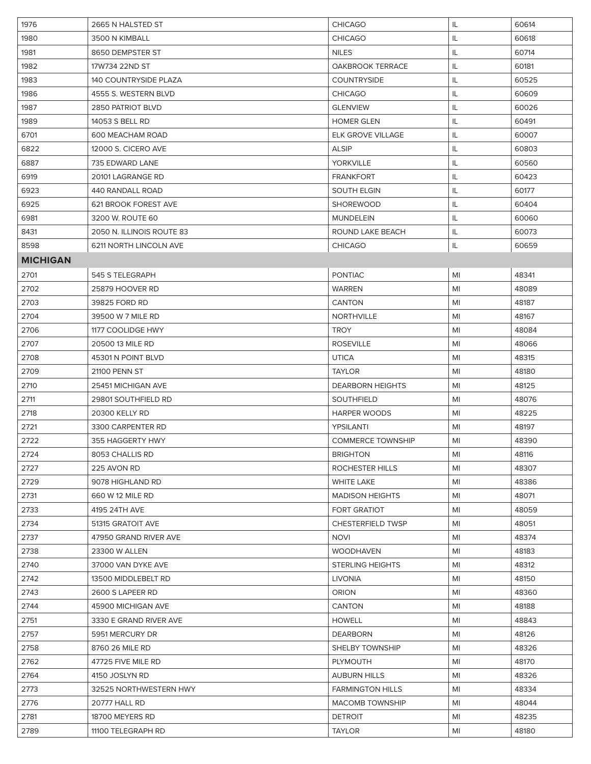| 1976<br>2665 N HALSTED ST<br><b>CHICAGO</b><br>IL                | 60614 |
|------------------------------------------------------------------|-------|
| <b>CHICAGO</b><br>1980<br>3500 N KIMBALL<br>IL                   | 60618 |
| 1981<br><b>NILES</b><br>IL.<br>8650 DEMPSTER ST                  | 60714 |
| 1982<br>17W734 22ND ST<br><b>OAKBROOK TERRACE</b><br>IL          | 60181 |
| 1983<br><b>140 COUNTRYSIDE PLAZA</b><br><b>COUNTRYSIDE</b><br>IL | 60525 |
| IL<br>1986<br>4555 S. WESTERN BLVD<br><b>CHICAGO</b>             | 60609 |
| 1987<br>2850 PATRIOT BLVD<br><b>GLENVIEW</b><br>IL               | 60026 |
| 1989<br>IL<br>14053 S BELL RD<br><b>HOMER GLEN</b>               | 60491 |
| 6701<br>600 MEACHAM ROAD<br><b>ELK GROVE VILLAGE</b><br>IL       | 60007 |
| 6822<br>12000 S. CICERO AVE<br><b>ALSIP</b><br>IL                | 60803 |
| 6887<br>735 EDWARD LANE<br><b>YORKVILLE</b><br>IL                | 60560 |
| 6919<br><b>FRANKFORT</b><br>20101 LAGRANGE RD<br>IL              | 60423 |
| 6923<br>440 RANDALL ROAD<br><b>SOUTH ELGIN</b><br>IL             | 60177 |
| <b>SHOREWOOD</b><br>IL<br>6925<br>621 BROOK FOREST AVE           | 60404 |
| 6981<br>3200 W. ROUTE 60<br><b>MUNDELEIN</b><br>IL               | 60060 |
| 8431<br>2050 N. ILLINOIS ROUTE 83<br>ROUND LAKE BEACH<br>IL      | 60073 |
| 8598<br>6211 NORTH LINCOLN AVE<br><b>CHICAGO</b><br>IL           | 60659 |
| <b>MICHIGAN</b>                                                  |       |
| 2701<br>545 S TELEGRAPH<br><b>PONTIAC</b><br>MI                  | 48341 |
| 2702<br>25879 HOOVER RD<br><b>WARREN</b><br>MI                   | 48089 |
| 2703<br>39825 FORD RD<br><b>CANTON</b><br>MI                     | 48187 |
| 2704<br>39500 W 7 MILE RD<br><b>NORTHVILLE</b><br>MI             | 48167 |
| 2706<br><b>TROY</b><br>1177 COOLIDGE HWY<br>MI                   | 48084 |
| 2707<br>20500 13 MILE RD<br><b>ROSEVILLE</b><br>MI               | 48066 |
| 2708<br>45301 N POINT BLVD<br><b>UTICA</b><br>MI                 | 48315 |
| 2709<br><b>TAYLOR</b><br>21100 PENN ST<br>MI                     | 48180 |
| 2710<br>25451 MICHIGAN AVE<br><b>DEARBORN HEIGHTS</b><br>MI      | 48125 |
| 2711<br><b>SOUTHFIELD</b><br>29801 SOUTHFIELD RD<br>MI           | 48076 |
| 2718<br>20300 KELLY RD<br><b>HARPER WOODS</b><br>MI              | 48225 |
| 2721<br>3300 CARPENTER RD<br>YPSILANTI<br>MI                     | 48197 |
| 2722<br>355 HAGGERTY HWY<br><b>COMMERCE TOWNSHIP</b><br>MI       | 48390 |
| 8053 CHALLIS RD<br><b>BRIGHTON</b><br>2724<br>MI                 | 48116 |
| ROCHESTER HILLS<br>2727<br>225 AVON RD<br>MI                     | 48307 |
| 2729<br>MI<br>9078 HIGHLAND RD<br>WHITE LAKE                     | 48386 |
| 2731<br>660 W 12 MILE RD<br><b>MADISON HEIGHTS</b><br>MI         | 48071 |
| 2733<br><b>FORT GRATIOT</b><br>MI<br>4195 24TH AVE               | 48059 |
| 2734<br><b>CHESTERFIELD TWSP</b><br>51315 GRATOIT AVE<br>MI      | 48051 |
| 2737<br>47950 GRAND RIVER AVE<br><b>NOVI</b><br>MI               | 48374 |
| 2738<br><b>WOODHAVEN</b><br>MI<br>23300 W ALLEN                  | 48183 |
| 2740<br>37000 VAN DYKE AVE<br><b>STERLING HEIGHTS</b><br>MI      | 48312 |
| 2742<br><b>LIVONIA</b><br>13500 MIDDLEBELT RD<br>MI              | 48150 |
| 2743<br>2600 S LAPEER RD<br><b>ORION</b><br>MI                   | 48360 |
| 2744<br>45900 MICHIGAN AVE<br><b>CANTON</b><br>MI                | 48188 |
| 2751<br>3330 E GRAND RIVER AVE<br><b>HOWELL</b><br>MI            | 48843 |
| 2757<br><b>DEARBORN</b><br>5951 MERCURY DR<br>MI                 | 48126 |
| 2758<br>SHELBY TOWNSHIP<br>MI<br>8760 26 MILE RD                 | 48326 |
| 2762<br>47725 FIVE MILE RD<br><b>PLYMOUTH</b><br>MI              | 48170 |
| 2764<br>4150 JOSLYN RD<br><b>AUBURN HILLS</b><br>MI              | 48326 |
| 2773<br>32525 NORTHWESTERN HWY<br>MI<br><b>FARMINGTON HILLS</b>  | 48334 |
| 2776<br><b>MACOMB TOWNSHIP</b><br>20777 HALL RD<br>MI            | 48044 |
| 2781<br>18700 MEYERS RD<br><b>DETROIT</b><br>MI                  | 48235 |
| 2789<br>11100 TELEGRAPH RD<br><b>TAYLOR</b><br>MI                | 48180 |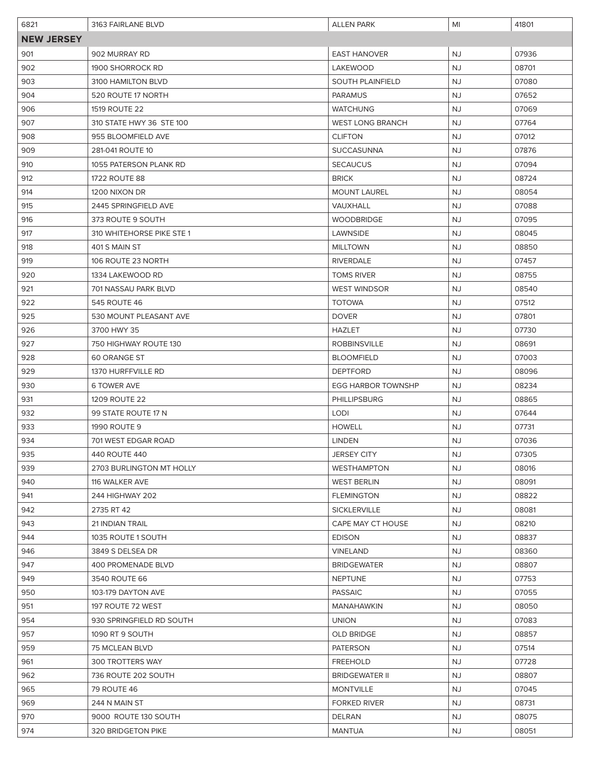| 6821              | 3163 FAIRLANE BLVD        | <b>ALLEN PARK</b>         | MI        | 41801 |  |
|-------------------|---------------------------|---------------------------|-----------|-------|--|
| <b>NEW JERSEY</b> |                           |                           |           |       |  |
| 901               | 902 MURRAY RD             | <b>EAST HANOVER</b>       | <b>NJ</b> | 07936 |  |
| 902               | 1900 SHORROCK RD          | LAKEWOOD                  | NJ        | 08701 |  |
| 903               | 3100 HAMILTON BLVD        | <b>SOUTH PLAINFIELD</b>   | <b>NJ</b> | 07080 |  |
| 904               | 520 ROUTE 17 NORTH        | <b>PARAMUS</b>            | <b>NJ</b> | 07652 |  |
| 906               | 1519 ROUTE 22             | WATCHUNG                  | <b>NJ</b> | 07069 |  |
| 907               | 310 STATE HWY 36 STE 100  | <b>WEST LONG BRANCH</b>   | NJ        | 07764 |  |
| 908               | 955 BLOOMFIELD AVE        | <b>CLIFTON</b>            | NJ        | 07012 |  |
| 909               | 281-041 ROUTE 10          | <b>SUCCASUNNA</b>         | <b>NJ</b> | 07876 |  |
| 910               | 1055 PATERSON PLANK RD    | <b>SECAUCUS</b>           | <b>NJ</b> | 07094 |  |
| 912               | <b>1722 ROUTE 88</b>      | <b>BRICK</b>              | <b>NJ</b> | 08724 |  |
| 914               | 1200 NIXON DR             | <b>MOUNT LAUREL</b>       | NJ.       | 08054 |  |
| 915               | 2445 SPRINGFIELD AVE      | <b>VAUXHALL</b>           | <b>NJ</b> | 07088 |  |
| 916               | 373 ROUTE 9 SOUTH         | <b>WOODBRIDGE</b>         | <b>NJ</b> | 07095 |  |
| 917               | 310 WHITEHORSE PIKE STE 1 | LAWNSIDE                  | NJ        | 08045 |  |
| 918               | 401 S MAIN ST             | <b>MILLTOWN</b>           | NJ        | 08850 |  |
| 919               | 106 ROUTE 23 NORTH        | <b>RIVERDALE</b>          | NJ        | 07457 |  |
| 920               | 1334 LAKEWOOD RD          | <b>TOMS RIVER</b>         | NJ        | 08755 |  |
| 921               | 701 NASSAU PARK BLVD      | <b>WEST WINDSOR</b>       | <b>NJ</b> | 08540 |  |
| 922               | 545 ROUTE 46              | <b>TOTOWA</b>             | NJ        | 07512 |  |
| 925               | 530 MOUNT PLEASANT AVE    | <b>DOVER</b>              | <b>NJ</b> | 07801 |  |
| 926               | 3700 HWY 35               | <b>HAZLET</b>             | <b>NJ</b> | 07730 |  |
| 927               | 750 HIGHWAY ROUTE 130     | <b>ROBBINSVILLE</b>       | NJ        | 08691 |  |
| 928               | <b>60 ORANGE ST</b>       | <b>BLOOMFIELD</b>         | <b>NJ</b> | 07003 |  |
| 929               | 1370 HURFFVILLE RD        | <b>DEPTFORD</b>           | NJ        | 08096 |  |
| 930               | <b>6 TOWER AVE</b>        | <b>EGG HARBOR TOWNSHP</b> | <b>NJ</b> | 08234 |  |
| 931               | <b>1209 ROUTE 22</b>      | <b>PHILLIPSBURG</b>       | NJ        | 08865 |  |
| 932               | 99 STATE ROUTE 17 N       | <b>LODI</b>               | NJ.       | 07644 |  |
| 933               | <b>1990 ROUTE 9</b>       | <b>HOWELL</b>             | NJ.       | 07731 |  |
| 934               | 701 WEST EDGAR ROAD       | <b>LINDEN</b>             | NJ.       | 07036 |  |
| 935               | 440 ROUTE 440             | <b>JERSEY CITY</b>        | NJ.       | 07305 |  |
| 939               | 2703 BURLINGTON MT HOLLY  | <b>WESTHAMPTON</b>        | <b>NJ</b> | 08016 |  |
| 940               | 116 WALKER AVE            | <b>WEST BERLIN</b>        | NJ.       | 08091 |  |
| 941               | 244 HIGHWAY 202           | <b>FLEMINGTON</b>         | NJ.       | 08822 |  |
| 942               | 2735 RT 42                | <b>SICKLERVILLE</b>       | NJ.       | 08081 |  |
| 943               | 21 INDIAN TRAIL           | CAPE MAY CT HOUSE         | NJ.       | 08210 |  |
| 944               | 1035 ROUTE 1 SOUTH        | <b>EDISON</b>             | <b>NJ</b> | 08837 |  |
| 946               | 3849 S DELSEA DR          | <b>VINELAND</b>           | NJ.       | 08360 |  |
| 947               | 400 PROMENADE BLVD        | <b>BRIDGEWATER</b>        | NJ.       | 08807 |  |
| 949               | 3540 ROUTE 66             | <b>NEPTUNE</b>            | NJ.       | 07753 |  |
| 950               | 103-179 DAYTON AVE        | <b>PASSAIC</b>            | <b>NJ</b> | 07055 |  |
| 951               | 197 ROUTE 72 WEST         | <b>MANAHAWKIN</b>         | <b>NJ</b> | 08050 |  |
| 954               | 930 SPRINGFIELD RD SOUTH  | <b>UNION</b>              | NJ.       | 07083 |  |
| 957               | 1090 RT 9 SOUTH           | <b>OLD BRIDGE</b>         | <b>NJ</b> | 08857 |  |
| 959               | 75 MCLEAN BLVD            | <b>PATERSON</b>           | <b>NJ</b> | 07514 |  |
| 961               | 300 TROTTERS WAY          | <b>FREEHOLD</b>           | NJ.       | 07728 |  |
| 962               | 736 ROUTE 202 SOUTH       | <b>BRIDGEWATER II</b>     | NJ.       | 08807 |  |
| 965               | 79 ROUTE 46               | <b>MONTVILLE</b>          | NJ.       | 07045 |  |
| 969               | 244 N MAIN ST             | <b>FORKED RIVER</b>       | NJ.       | 08731 |  |
| 970               | 9000 ROUTE 130 SOUTH      | <b>DELRAN</b>             | <b>NJ</b> | 08075 |  |
| 974               | 320 BRIDGETON PIKE        | <b>MANTUA</b>             | NJ.       | 08051 |  |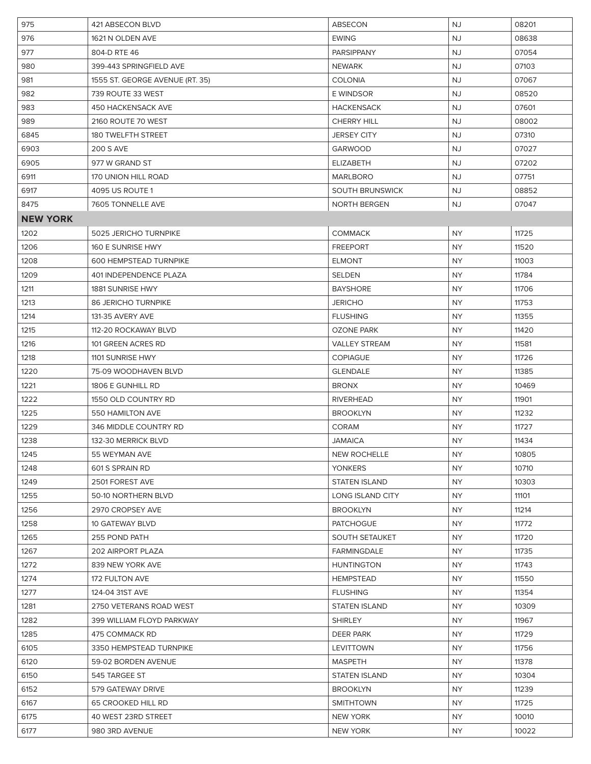| 975             | 421 ABSECON BLVD                | <b>ABSECON</b>         | <b>NJ</b> | 08201 |
|-----------------|---------------------------------|------------------------|-----------|-------|
| 976             | 1621 N OLDEN AVE                | <b>EWING</b>           | NJ        | 08638 |
| 977             | 804-D RTE 46                    | <b>PARSIPPANY</b>      | <b>NJ</b> | 07054 |
| 980             | 399-443 SPRINGFIELD AVE         | <b>NEWARK</b>          | <b>NJ</b> | 07103 |
| 981             | 1555 ST. GEORGE AVENUE (RT. 35) | <b>COLONIA</b>         | <b>NJ</b> | 07067 |
| 982             | 739 ROUTE 33 WEST               | <b>E WINDSOR</b>       | <b>NJ</b> | 08520 |
| 983             | <b>450 HACKENSACK AVE</b>       | <b>HACKENSACK</b>      | <b>NJ</b> | 07601 |
| 989             | 2160 ROUTE 70 WEST              | <b>CHERRY HILL</b>     | <b>NJ</b> | 08002 |
| 6845            | 180 TWELFTH STREET              | <b>JERSEY CITY</b>     | <b>NJ</b> | 07310 |
| 6903            | <b>200 S AVE</b>                | <b>GARWOOD</b>         | <b>NJ</b> | 07027 |
| 6905            | 977 W GRAND ST                  | ELIZABETH              | <b>NJ</b> | 07202 |
| 6911            | 170 UNION HILL ROAD             | <b>MARLBORO</b>        | NJ.       | 07751 |
| 6917            | 4095 US ROUTE 1                 | <b>SOUTH BRUNSWICK</b> | <b>NJ</b> | 08852 |
| 8475            | 7605 TONNELLE AVE               | NORTH BERGEN           | NJ        | 07047 |
| <b>NEW YORK</b> |                                 |                        |           |       |
| 1202            | <b>5025 JERICHO TURNPIKE</b>    | <b>COMMACK</b>         | <b>NY</b> | 11725 |
| 1206            | 160 E SUNRISE HWY               | <b>FREEPORT</b>        | NY.       | 11520 |
| 1208            | <b>600 HEMPSTEAD TURNPIKE</b>   | <b>ELMONT</b>          | <b>NY</b> | 11003 |
| 1209            | 401 INDEPENDENCE PLAZA          | <b>SELDEN</b>          | <b>NY</b> | 11784 |
| 1211            | 1881 SUNRISE HWY                | <b>BAYSHORE</b>        | <b>NY</b> | 11706 |
| 1213            | <b>86 JERICHO TURNPIKE</b>      | <b>JERICHO</b>         | NY.       | 11753 |
| 1214            | 131-35 AVERY AVE                | <b>FLUSHING</b>        | <b>NY</b> | 11355 |
| 1215            | 112-20 ROCKAWAY BLVD            | <b>OZONE PARK</b>      | <b>NY</b> | 11420 |
| 1216            | 101 GREEN ACRES RD              | <b>VALLEY STREAM</b>   | NY.       | 11581 |
| 1218            | 1101 SUNRISE HWY                | <b>COPIAGUE</b>        | NY.       | 11726 |
| 1220            | 75-09 WOODHAVEN BLVD            | <b>GLENDALE</b>        | NY.       | 11385 |
| 1221            | 1806 E GUNHILL RD               | <b>BRONX</b>           | <b>NY</b> | 10469 |
| 1222            | 1550 OLD COUNTRY RD             | <b>RIVERHEAD</b>       | <b>NY</b> | 11901 |
| 1225            | 550 HAMILTON AVE                | <b>BROOKLYN</b>        | NY.       | 11232 |
| 1229            | 346 MIDDLE COUNTRY RD           | <b>CORAM</b>           | NY.       | 11727 |
| 1238            | 132-30 MERRICK BLVD             | <b>JAMAICA</b>         | NY.       | 11434 |
| 1245            | 55 WEYMAN AVE                   | <b>NEW ROCHELLE</b>    | NY.       | 10805 |
| 1248            | 601 S SPRAIN RD                 | <b>YONKERS</b>         | NY.       | 10710 |
| 1249            | 2501 FOREST AVE                 | <b>STATEN ISLAND</b>   | NY.       | 10303 |
| 1255            | 50-10 NORTHERN BLVD             | LONG ISLAND CITY       | NY.       | 11101 |
| 1256            | 2970 CROPSEY AVE                | <b>BROOKLYN</b>        | NY.       | 11214 |
| 1258            | 10 GATEWAY BLVD                 | <b>PATCHOGUE</b>       | NY.       | 11772 |
| 1265            | 255 POND PATH                   | <b>SOUTH SETAUKET</b>  | NY.       | 11720 |
| 1267            | 202 AIRPORT PLAZA               | <b>FARMINGDALE</b>     | NY.       | 11735 |
| 1272            | 839 NEW YORK AVE                | <b>HUNTINGTON</b>      | NY.       | 11743 |
| 1274            | 172 FULTON AVE                  | <b>HEMPSTEAD</b>       | <b>NY</b> | 11550 |
| 1277            | 124-04 31ST AVE                 | <b>FLUSHING</b>        | NY        | 11354 |
| 1281            | 2750 VETERANS ROAD WEST         | <b>STATEN ISLAND</b>   | NY        | 10309 |
| 1282            | 399 WILLIAM FLOYD PARKWAY       | <b>SHIRLEY</b>         | NY.       | 11967 |
| 1285            | 475 COMMACK RD                  | DEER PARK              | NY.       | 11729 |
| 6105            | 3350 HEMPSTEAD TURNPIKE         | LEVITTOWN              | <b>NY</b> | 11756 |
| 6120            | 59-02 BORDEN AVENUE             | <b>MASPETH</b>         | NY.       | 11378 |
| 6150            | 545 TARGEE ST                   | <b>STATEN ISLAND</b>   | NY.       | 10304 |
| 6152            | 579 GATEWAY DRIVE               | <b>BROOKLYN</b>        | NY.       | 11239 |
| 6167            | 65 CROOKED HILL RD              | <b>SMITHTOWN</b>       | NY.       | 11725 |
| 6175            | 40 WEST 23RD STREET             | <b>NEW YORK</b>        | NY.       | 10010 |
| 6177            | 980 3RD AVENUE                  | NEW YORK               | NY.       | 10022 |